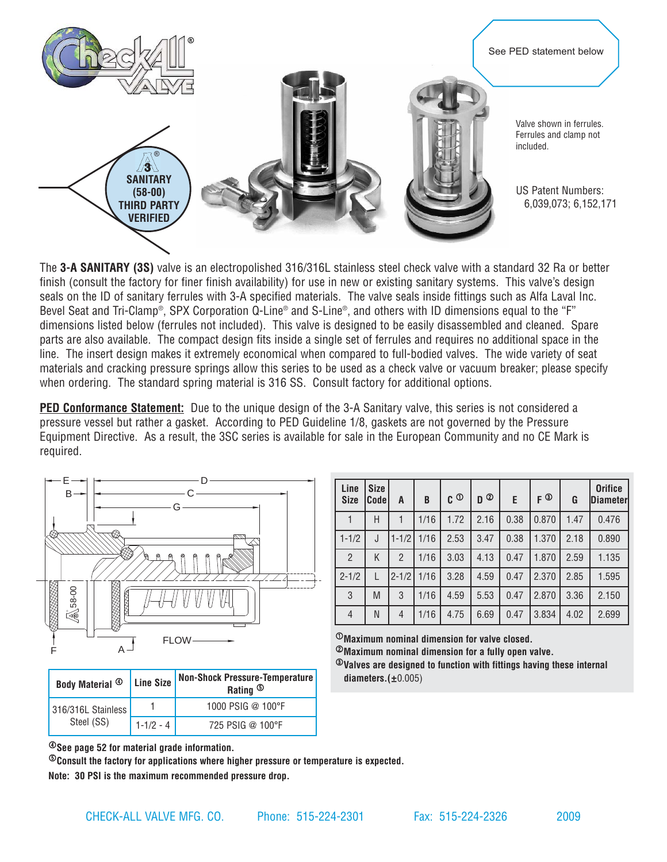

The **3-A SANITARY (3S)** valve is an electropolished 316/316L stainless steel check valve with a standard 32 Ra or better finish (consult the factory for finer finish availability) for use in new or existing sanitary systems. This valve's design seals on the ID of sanitary ferrules with 3-A specified materials. The valve seals inside fittings such as Alfa Laval Inc. Bevel Seat and Tri-Clamp®, SPX Corporation Q-Line® and S-Line®, and others with ID dimensions equal to the "F" dimensions listed below (ferrules not included). This valve is designed to be easily disassembled and cleaned. Spare parts are also available. The compact design fits inside a single set of ferrules and requires no additional space in the line. The insert design makes it extremely economical when compared to full-bodied valves. The wide variety of seat materials and cracking pressure springs allow this series to be used as a check valve or vacuum breaker; please specify when ordering. The standard spring material is 316 SS. Consult factory for additional options.

**PED Conformance Statement:** Due to the unique design of the 3-A Sanitary valve, this series is not considered a pressure vessel but rather a gasket. According to PED Guideline 1/8, gaskets are not governed by the Pressure Equipment Directive. As a result, the 3SC series is available for sale in the European Community and no CE Mark is required.



|  | Body Material <sup>4</sup>       | Line Size     | Non-Shock Pressure-Temperature<br>Rating <sup>5</sup> |
|--|----------------------------------|---------------|-------------------------------------------------------|
|  | 316/316L Stainless<br>Steel (SS) |               | 1000 PSIG @ 100°F                                     |
|  |                                  | $1 - 1/2 - 4$ | 725 PSIG @ 100°F                                      |

| Line<br><b>Size</b> | <b>Size</b><br>Codel | A             | B    | $\mathfrak{c}$ $\mathfrak{D}$ | $D^{\odot}$ | E.   | $F^{\circledR}$ | G    | <b>Orifice</b><br><b>Diameter</b> |
|---------------------|----------------------|---------------|------|-------------------------------|-------------|------|-----------------|------|-----------------------------------|
|                     | Н                    |               | 1/16 | 1.72                          | 2.16        | 0.38 | 0.870           | 1.47 | 0.476                             |
| $1 - 1/2$           | J                    | $1 - 1/2$     | 1/16 | 2.53                          | 3.47        | 0.38 | 1.370           | 2.18 | 0.890                             |
| $\overline{2}$      | K                    | $\mathcal{P}$ | 1/16 | 3.03                          | 4.13        | 0.47 | 1.870           | 2.59 | 1.135                             |
| $2 - 1/2$           | L                    | $2 - 1/2$     | 1/16 | 3.28                          | 4.59        | 0.47 | 2.370           | 2.85 | 1.595                             |
| 3                   | M                    | 3             | 1/16 | 4.59                          | 5.53        | 0.47 | 2.870           | 3.36 | 2.150                             |
| $\overline{4}$      | N                    | 4             | 1/16 | 4.75                          | 6.69        | 0.47 | 3.834           | 4.02 | 2.699                             |

<sup>1</sup>**Maximum nominal dimension for valve closed.**

<sup>2</sup>**Maximum nominal dimension for a fully open valve.**

<sup>3</sup>**Valves are designed to function with fittings having these internal diameters.(**±0.005)

<sup>4</sup>**See page 52 for material grade information.**

<sup>5</sup>**Consult the factory for applications where higher pressure or temperature is expected.**

**Note: 30 PSI is the maximum recommended pressure drop.**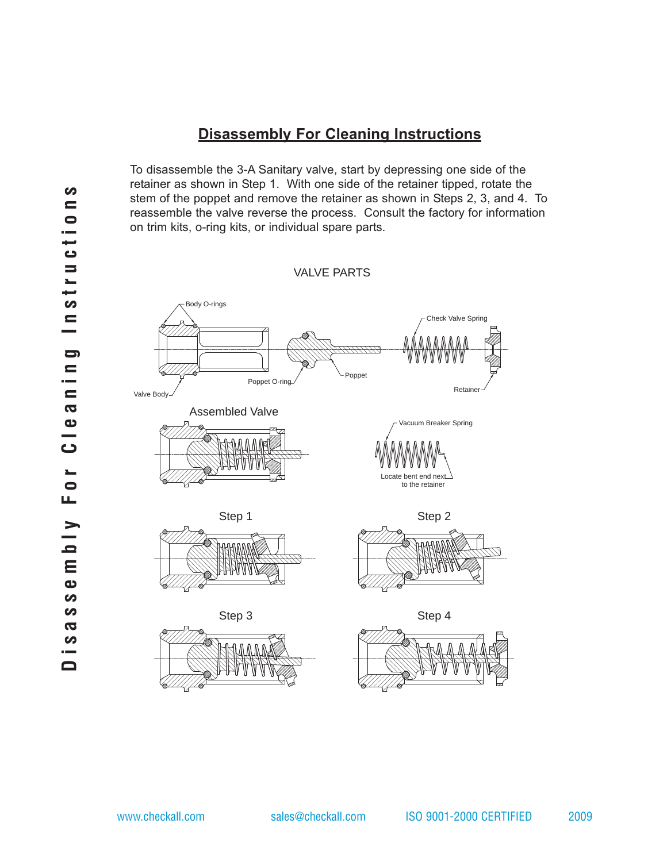## **Disassembly For Cleaning Instructions**

To disassemble the 3-A Sanitary valve, start by depressing one side of the retainer as shown in Step 1. With one side of the retainer tipped, rotate the stem of the poppet and remove the retainer as shown in Steps 2, 3, and 4. To reassemble the valve reverse the process. Consult the factory for information on trim kits, o-ring kits, or individual spare parts.

VALVE PARTS

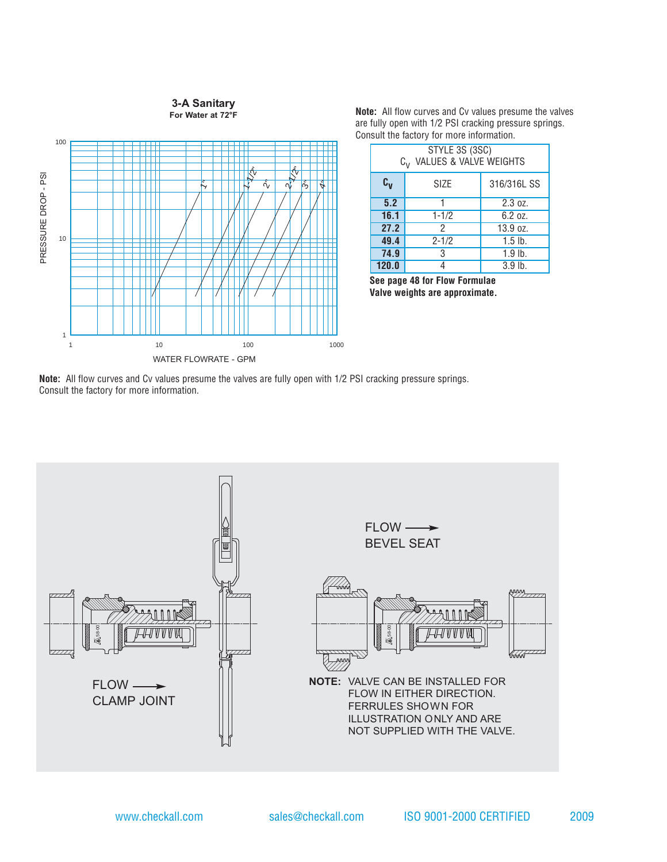## **3-A Sanitary For Water at 72°F**



**Note:** All flow curves and Cv values presume the valves are fully open with 1/2 PSI cracking pressure springs. Consult the factory for more information.

| STYLE 3S (3SC)<br>VALUES & VALVE WEIGHTS<br>$C_{\mathcal{U}}$ |           |             |  |  |  |  |
|---------------------------------------------------------------|-----------|-------------|--|--|--|--|
| $c_{v}$                                                       | SIZE      | 316/316L SS |  |  |  |  |
| 5.2                                                           |           | 2.3 oz.     |  |  |  |  |
| 16.1                                                          | $1 - 1/2$ | 6.2 oz.     |  |  |  |  |
| 27.2                                                          | 2         | 13.9 oz.    |  |  |  |  |
| 49.4                                                          | $2 - 1/2$ | $1.5$ lb.   |  |  |  |  |
| 74.9                                                          | 3         | $1.9$ lb.   |  |  |  |  |
| 120.0                                                         |           | $3.9$ lb.   |  |  |  |  |

**See page 48 for Flow Formulae Valve weights are approximate.**

**Note:** All flow curves and Cv values presume the valves are fully open with 1/2 PSI cracking pressure springs. Consult the factory for more information.